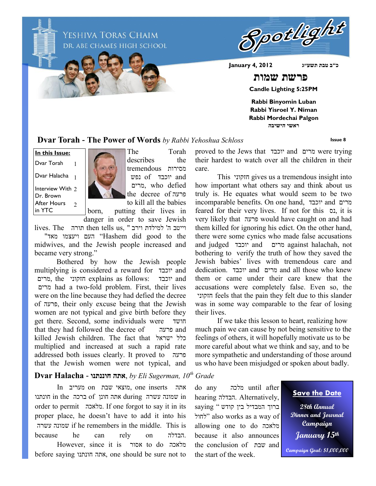

**Dvar Torah - The Power of Words** *by Rabbi Yehoshua Schloss*

**Issue 8**

## **In this Issue:**

Interview With 2 Dr. Brown Dvar Torah Dvar Halacha 1 1 After Hours

 $\mathfrak{D}$ 

in YTC



The Torah describes the מסירות tremendous and יוכבד of נפש מרים, who defied the decree of פרעה to kill all the babies

born, putting their lives in danger in order to save Jewish

lives. The תורה then tells us, " וייטב ה' למילדת וירב "מאד ויעצמו העם" Hashem did good to the midwives, and the Jewish people increased and became very strong."

Bothered by how the Jewish people multiplying is considered a reward for יוכבד and מרים, the חזקוני explains as follows: יוכבד and מרים had a two-fold problem. First, their lives were on the line because they had defied the decree of פרעה, their only excuse being that the Jewish women are not typical and give birth before they get there. Second, some individuals were חושד that they had followed the decree of פרעה and killed Jewish children. The fact that ישראל כלל multiplied and increased at such a rapid rate addressed both issues clearly. It proved to פרעה that the Jewish women were not typical, and

## **Dvar Halacha - חוננתנו אתה**, *by Eli Sugerman, 10th Grade*

אתה inserts one ,מוצאי שבת on מעריב In וונתנו in the שמונה עשרה during החונתנו during שמונה עשרה order to permit מלאכה. If one forgot to say it in its proper place, he doesn't have to add it into his עשרה שמונה if he remembers in the middle. This is because he can rely on הבדלה.

However, since it is אסור to do מלאכה before saying חונתנו אתה, one should be sure not to proved to the Jews that יוכבד and מרים were trying their hardest to watch over all the children in their care.

This חזקוני gives us a tremendous insight into how important what others say and think about us truly is. He equates what would seem to be two incomparable benefits. On one hand, יוכבד and מרים feared for their very lives. If not for this נס, it is very likely that פרעה would have caught on and had them killed for ignoring his edict. On the other hand, there were some cynics who made false accusations and judged יוכבד and מרים against halachah, not bothering to verify the truth of how they saved the Jewish babies' lives with tremendous care and dedication. יוכבד and מרים and all those who knew them or came under their care knew that the accusations were completely false. Even so, the חזקוני feels that the pain they felt due to this slander was in some way comparable to the fear of losing their lives.

If we take this lesson to heart, realizing how much pain we can cause by not being sensitive to the feelings of others, it will hopefully motivate us to be more careful about what we think and say, and to be more sympathetic and understanding of those around us who have been misjudged or spoken about badly.

do any מלכה until after hearing הבדלה. Alternatively, ברוך המבדיל בין קודש " saying לחול "also works as a way of allowing one to do מלאכה because it also announces the conclusion of שבת and the start of the week.